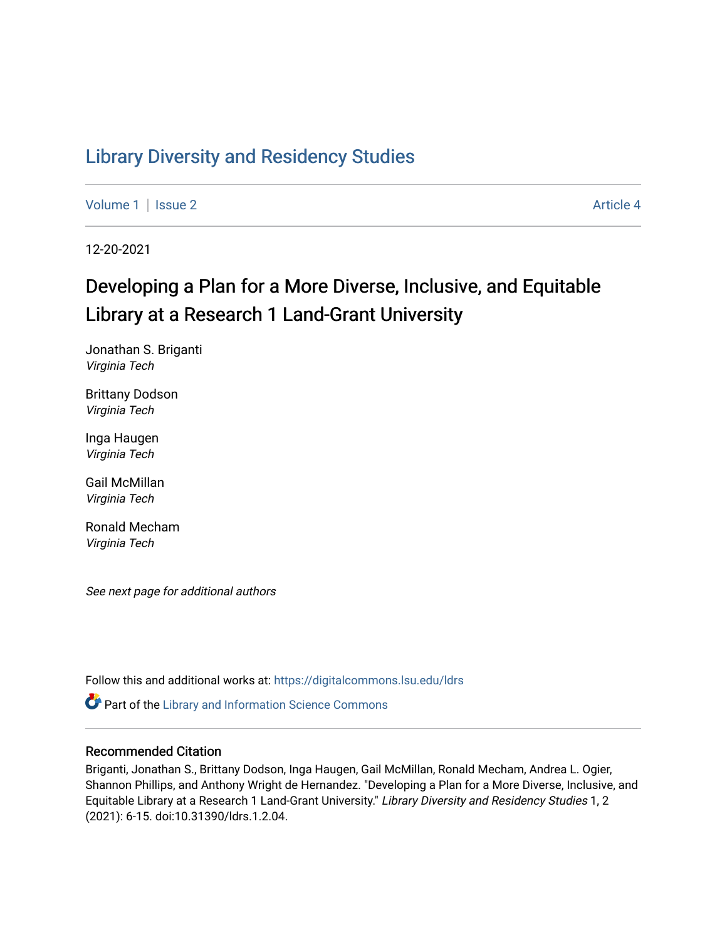# [Library Diversity and Residency Studies](https://digitalcommons.lsu.edu/ldrs)

[Volume 1](https://digitalcommons.lsu.edu/ldrs/vol1) | [Issue 2](https://digitalcommons.lsu.edu/ldrs/vol1/iss2) Article 4

12-20-2021

# Developing a Plan for a More Diverse, Inclusive, and Equitable Library at a Research 1 Land-Grant University

Jonathan S. Briganti Virginia Tech

Brittany Dodson Virginia Tech

Inga Haugen Virginia Tech

Gail McMillan Virginia Tech

Ronald Mecham Virginia Tech

See next page for additional authors

Follow this and additional works at: [https://digitalcommons.lsu.edu/ldrs](https://digitalcommons.lsu.edu/ldrs?utm_source=digitalcommons.lsu.edu%2Fldrs%2Fvol1%2Fiss2%2F4&utm_medium=PDF&utm_campaign=PDFCoverPages) 

Part of the [Library and Information Science Commons](http://network.bepress.com/hgg/discipline/1018?utm_source=digitalcommons.lsu.edu%2Fldrs%2Fvol1%2Fiss2%2F4&utm_medium=PDF&utm_campaign=PDFCoverPages) 

# Recommended Citation

Briganti, Jonathan S., Brittany Dodson, Inga Haugen, Gail McMillan, Ronald Mecham, Andrea L. Ogier, Shannon Phillips, and Anthony Wright de Hernandez. "Developing a Plan for a More Diverse, Inclusive, and Equitable Library at a Research 1 Land-Grant University." Library Diversity and Residency Studies 1, 2 (2021): 6-15. doi:10.31390/ldrs.1.2.04.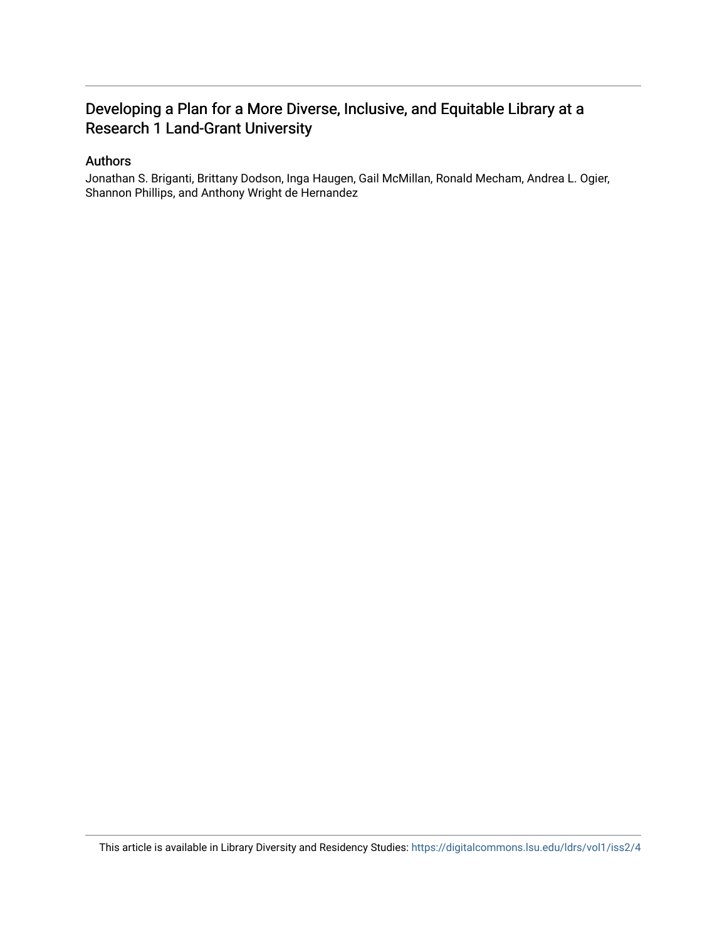# Developing a Plan for a More Diverse, Inclusive, and Equitable Library at a Research 1 Land-Grant University

# Authors

Jonathan S. Briganti, Brittany Dodson, Inga Haugen, Gail McMillan, Ronald Mecham, Andrea L. Ogier, Shannon Phillips, and Anthony Wright de Hernandez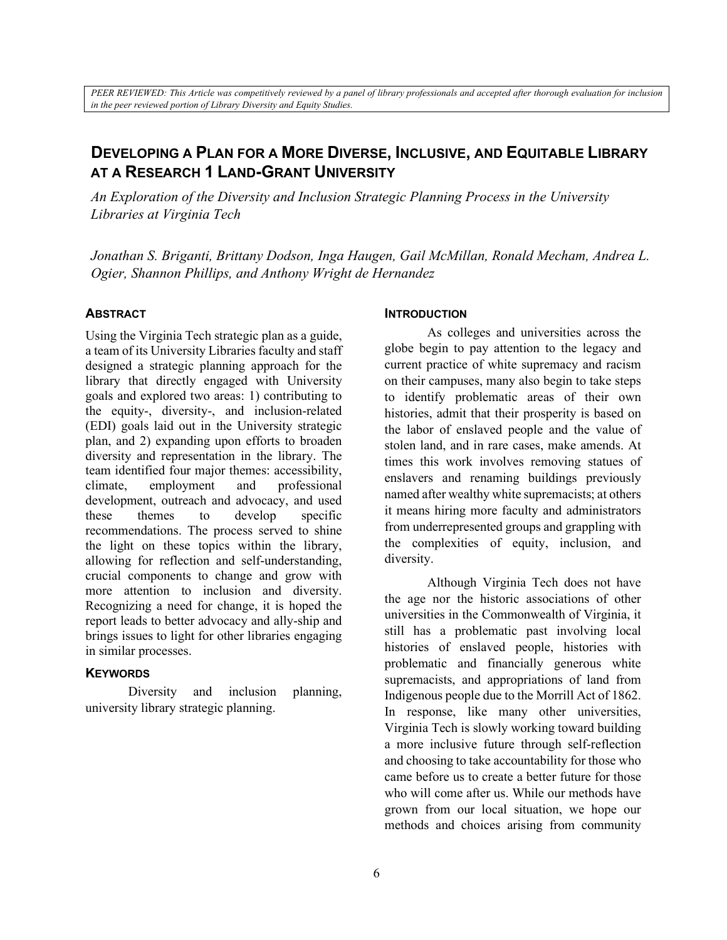*PEER REVIEWED: This Article was competitively reviewed by a panel of library professionals and accepted after thorough evaluation for inclusion in the peer reviewed portion of Library Diversity and Equity Studies.*

# **DEVELOPING A PLAN FOR A MORE DIVERSE, INCLUSIVE, AND EQUITABLE LIBRARY AT A RESEARCH 1 LAND-GRANT UNIVERSITY**

*An Exploration of the Diversity and Inclusion Strategic Planning Process in the University Libraries at Virginia Tech* 

*Jonathan S. Briganti, Brittany Dodson, Inga Haugen, Gail McMillan, Ronald Mecham, Andrea L. Ogier, Shannon Phillips, and Anthony Wright de Hernandez*

#### **ABSTRACT**

Using the Virginia Tech strategic plan as a guide, a team of its University Libraries faculty and staff designed a strategic planning approach for the library that directly engaged with University goals and explored two areas: 1) contributing to the equity-, diversity-, and inclusion-related (EDI) goals laid out in the University strategic plan, and 2) expanding upon efforts to broaden diversity and representation in the library. The team identified four major themes: accessibility, climate, employment and professional development, outreach and advocacy, and used these themes to develop specific recommendations. The process served to shine the light on these topics within the library, allowing for reflection and self-understanding, crucial components to change and grow with more attention to inclusion and diversity. Recognizing a need for change, it is hoped the report leads to better advocacy and ally-ship and brings issues to light for other libraries engaging in similar processes.

#### **KEYWORDS**

Diversity and inclusion planning, university library strategic planning.

#### **INTRODUCTION**

As colleges and universities across the globe begin to pay attention to the legacy and current practice of white supremacy and racism on their campuses, many also begin to take steps to identify problematic areas of their own histories, admit that their prosperity is based on the labor of enslaved people and the value of stolen land, and in rare cases, make amends. At times this work involves removing statues of enslavers and renaming buildings previously named after wealthy white supremacists; at others it means hiring more faculty and administrators from underrepresented groups and grappling with the complexities of equity, inclusion, and diversity.

Although Virginia Tech does not have the age nor the historic associations of other universities in the Commonwealth of Virginia, it still has a problematic past involving local histories of enslaved people, histories with problematic and financially generous white supremacists, and appropriations of land from Indigenous people due to the Morrill Act of 1862. In response, like many other universities, Virginia Tech is slowly working toward building a more inclusive future through self-reflection and choosing to take accountability for those who came before us to create a better future for those who will come after us. While our methods have grown from our local situation, we hope our methods and choices arising from community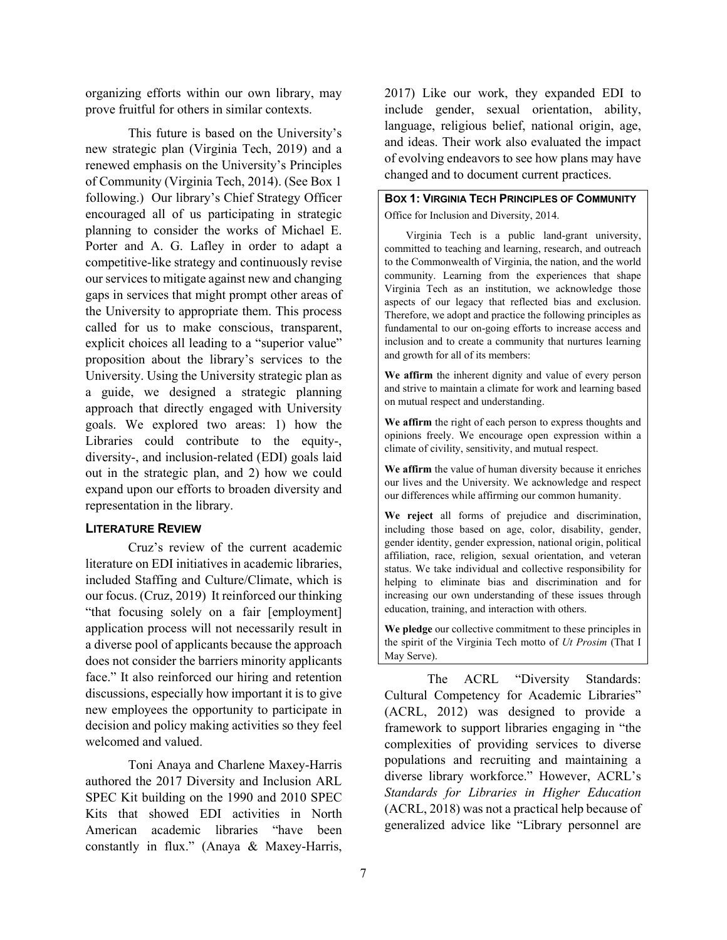organizing efforts within our own library, may prove fruitful for others in similar contexts.

This future is based on the University's new strategic plan (Virginia Tech, 2019) and a renewed emphasis on the University's Principles of Community (Virginia Tech, 2014). (See Box 1 following.) Our library's Chief Strategy Officer encouraged all of us participating in strategic planning to consider the works of Michael E. Porter and A. G. Lafley in order to adapt a competitive-like strategy and continuously revise our services to mitigate against new and changing gaps in services that might prompt other areas of the University to appropriate them. This process called for us to make conscious, transparent, explicit choices all leading to a "superior value" proposition about the library's services to the University. Using the University strategic plan as a guide, we designed a strategic planning approach that directly engaged with University goals. We explored two areas: 1) how the Libraries could contribute to the equity-, diversity-, and inclusion-related (EDI) goals laid out in the strategic plan, and 2) how we could expand upon our efforts to broaden diversity and representation in the library.

#### **LITERATURE REVIEW**

Cruz's review of the current academic literature on EDI initiatives in academic libraries, included Staffing and Culture/Climate, which is our focus. (Cruz, 2019) It reinforced our thinking "that focusing solely on a fair [employment] application process will not necessarily result in a diverse pool of applicants because the approach does not consider the barriers minority applicants face." It also reinforced our hiring and retention discussions, especially how important it is to give new employees the opportunity to participate in decision and policy making activities so they feel welcomed and valued.

Toni Anaya and Charlene Maxey-Harris authored the 2017 Diversity and Inclusion ARL SPEC Kit building on the 1990 and 2010 SPEC Kits that showed EDI activities in North American academic libraries "have been constantly in flux." (Anaya & Maxey-Harris,

2017) Like our work, they expanded EDI to include gender, sexual orientation, ability, language, religious belief, national origin, age, and ideas. Their work also evaluated the impact of evolving endeavors to see how plans may have changed and to document current practices.

**BOX 1: VIRGINIA TECH PRINCIPLES OF COMMUNITY** Office for Inclusion and Diversity, 2014.

Virginia Tech is a public land-grant university, committed to teaching and learning, research, and outreach to the Commonwealth of Virginia, the nation, and the world community. Learning from the experiences that shape Virginia Tech as an institution, we acknowledge those aspects of our legacy that reflected bias and exclusion. Therefore, we adopt and practice the following principles as fundamental to our on-going efforts to increase access and inclusion and to create a community that nurtures learning and growth for all of its members:

**We affirm** the inherent dignity and value of every person and strive to maintain a climate for work and learning based on mutual respect and understanding.

**We affirm** the right of each person to express thoughts and opinions freely. We encourage open expression within a climate of civility, sensitivity, and mutual respect.

**We affirm** the value of human diversity because it enriches our lives and the University. We acknowledge and respect our differences while affirming our common humanity.

**We reject** all forms of prejudice and discrimination, including those based on age, color, disability, gender, gender identity, gender expression, national origin, political affiliation, race, religion, sexual orientation, and veteran status. We take individual and collective responsibility for helping to eliminate bias and discrimination and for increasing our own understanding of these issues through education, training, and interaction with others.

**We pledge** our collective commitment to these principles in the spirit of the Virginia Tech motto of *Ut Prosim* (That I May Serve).

The ACRL "Diversity Standards: Cultural Competency for Academic Libraries" (ACRL, 2012) was designed to provide a framework to support libraries engaging in "the complexities of providing services to diverse populations and recruiting and maintaining a diverse library workforce." However, ACRL's *Standards for Libraries in Higher Education* (ACRL, 2018) was not a practical help because of generalized advice like "Library personnel are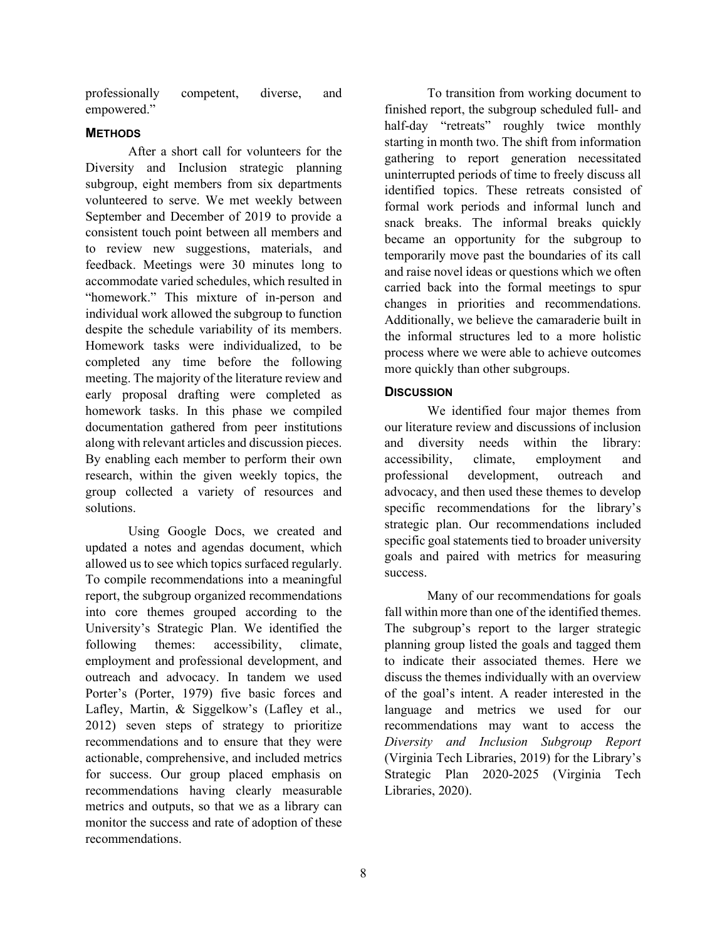professionally competent, diverse, and empowered."

## **METHODS**

After a short call for volunteers for the Diversity and Inclusion strategic planning subgroup, eight members from six departments volunteered to serve. We met weekly between September and December of 2019 to provide a consistent touch point between all members and to review new suggestions, materials, and feedback. Meetings were 30 minutes long to accommodate varied schedules, which resulted in "homework." This mixture of in-person and individual work allowed the subgroup to function despite the schedule variability of its members. Homework tasks were individualized, to be completed any time before the following meeting. The majority of the literature review and early proposal drafting were completed as homework tasks. In this phase we compiled documentation gathered from peer institutions along with relevant articles and discussion pieces. By enabling each member to perform their own research, within the given weekly topics, the group collected a variety of resources and solutions.

Using Google Docs, we created and updated a notes and agendas document, which allowed us to see which topics surfaced regularly. To compile recommendations into a meaningful report, the subgroup organized recommendations into core themes grouped according to the University's Strategic Plan. We identified the following themes: accessibility, climate, employment and professional development, and outreach and advocacy. In tandem we used Porter's (Porter, 1979) five basic forces and Lafley, Martin, & Siggelkow's (Lafley et al., 2012) seven steps of strategy to prioritize recommendations and to ensure that they were actionable, comprehensive, and included metrics for success. Our group placed emphasis on recommendations having clearly measurable metrics and outputs, so that we as a library can monitor the success and rate of adoption of these recommendations.

To transition from working document to finished report, the subgroup scheduled full- and half-day "retreats" roughly twice monthly starting in month two. The shift from information gathering to report generation necessitated uninterrupted periods of time to freely discuss all identified topics. These retreats consisted of formal work periods and informal lunch and snack breaks. The informal breaks quickly became an opportunity for the subgroup to temporarily move past the boundaries of its call and raise novel ideas or questions which we often carried back into the formal meetings to spur changes in priorities and recommendations. Additionally, we believe the camaraderie built in the informal structures led to a more holistic process where we were able to achieve outcomes more quickly than other subgroups.

## **DISCUSSION**

We identified four major themes from our literature review and discussions of inclusion and diversity needs within the library: accessibility, climate, employment and professional development, outreach and advocacy, and then used these themes to develop specific recommendations for the library's strategic plan. Our recommendations included specific goal statements tied to broader university goals and paired with metrics for measuring success.

Many of our recommendations for goals fall within more than one of the identified themes. The subgroup's report to the larger strategic planning group listed the goals and tagged them to indicate their associated themes. Here we discuss the themes individually with an overview of the goal's intent. A reader interested in the language and metrics we used for our recommendations may want to access the *Diversity and Inclusion Subgroup Report* (Virginia Tech Libraries, 2019) for the Library's Strategic Plan 2020-2025 (Virginia Tech Libraries, 2020).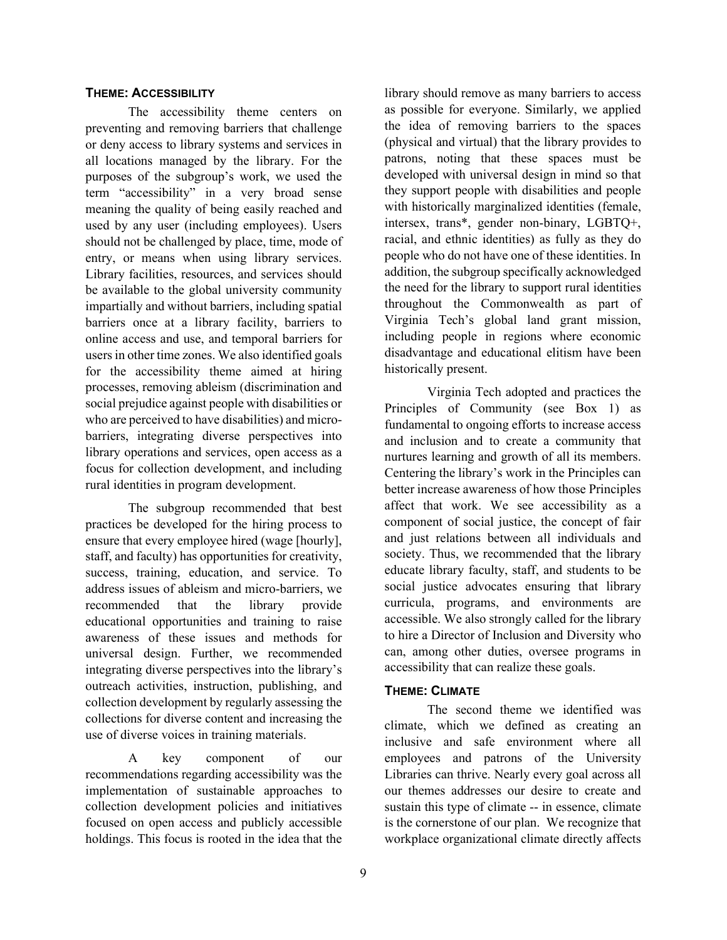#### **THEME: ACCESSIBILITY**

The accessibility theme centers on preventing and removing barriers that challenge or deny access to library systems and services in all locations managed by the library. For the purposes of the subgroup's work, we used the term "accessibility" in a very broad sense meaning the quality of being easily reached and used by any user (including employees). Users should not be challenged by place, time, mode of entry, or means when using library services. Library facilities, resources, and services should be available to the global university community impartially and without barriers, including spatial barriers once at a library facility, barriers to online access and use, and temporal barriers for users in other time zones. We also identified goals for the accessibility theme aimed at hiring processes, removing ableism (discrimination and social prejudice against people with disabilities or who are perceived to have disabilities) and microbarriers, integrating diverse perspectives into library operations and services, open access as a focus for collection development, and including rural identities in program development.

The subgroup recommended that best practices be developed for the hiring process to ensure that every employee hired (wage [hourly], staff, and faculty) has opportunities for creativity, success, training, education, and service. To address issues of ableism and micro-barriers, we recommended that the library provide educational opportunities and training to raise awareness of these issues and methods for universal design. Further, we recommended integrating diverse perspectives into the library's outreach activities, instruction, publishing, and collection development by regularly assessing the collections for diverse content and increasing the use of diverse voices in training materials.

A key component of our recommendations regarding accessibility was the implementation of sustainable approaches to collection development policies and initiatives focused on open access and publicly accessible holdings. This focus is rooted in the idea that the

library should remove as many barriers to access as possible for everyone. Similarly, we applied the idea of removing barriers to the spaces (physical and virtual) that the library provides to patrons, noting that these spaces must be developed with universal design in mind so that they support people with disabilities and people with historically marginalized identities (female, intersex, trans\*, gender non-binary, LGBTQ+, racial, and ethnic identities) as fully as they do people who do not have one of these identities. In addition, the subgroup specifically acknowledged the need for the library to support rural identities throughout the Commonwealth as part of Virginia Tech's global land grant mission, including people in regions where economic disadvantage and educational elitism have been historically present.

Virginia Tech adopted and practices the Principles of Community (see Box 1) as fundamental to ongoing efforts to increase access and inclusion and to create a community that nurtures learning and growth of all its members. Centering the library's work in the Principles can better increase awareness of how those Principles affect that work. We see accessibility as a component of social justice, the concept of fair and just relations between all individuals and society. Thus, we recommended that the library educate library faculty, staff, and students to be social justice advocates ensuring that library curricula, programs, and environments are accessible. We also strongly called for the library to hire a Director of Inclusion and Diversity who can, among other duties, oversee programs in accessibility that can realize these goals.

# **THEME: CLIMATE**

The second theme we identified was climate, which we defined as creating an inclusive and safe environment where all employees and patrons of the University Libraries can thrive. Nearly every goal across all our themes addresses our desire to create and sustain this type of climate -- in essence, climate is the cornerstone of our plan. We recognize that workplace organizational climate directly affects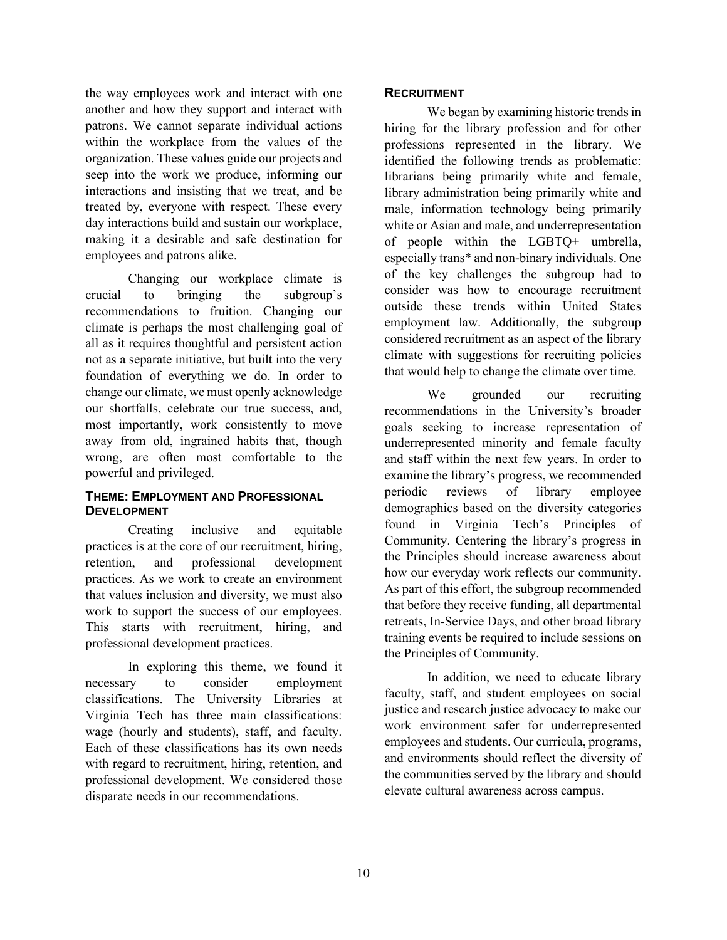the way employees work and interact with one another and how they support and interact with patrons. We cannot separate individual actions within the workplace from the values of the organization. These values guide our projects and seep into the work we produce, informing our interactions and insisting that we treat, and be treated by, everyone with respect. These every day interactions build and sustain our workplace, making it a desirable and safe destination for employees and patrons alike.

Changing our workplace climate is crucial to bringing the subgroup's recommendations to fruition. Changing our climate is perhaps the most challenging goal of all as it requires thoughtful and persistent action not as a separate initiative, but built into the very foundation of everything we do. In order to change our climate, we must openly acknowledge our shortfalls, celebrate our true success, and, most importantly, work consistently to move away from old, ingrained habits that, though wrong, are often most comfortable to the powerful and privileged.

#### **THEME: EMPLOYMENT AND PROFESSIONAL DEVELOPMENT**

Creating inclusive and equitable practices is at the core of our recruitment, hiring, retention, and professional development practices. As we work to create an environment that values inclusion and diversity, we must also work to support the success of our employees. This starts with recruitment, hiring, and professional development practices.

In exploring this theme, we found it necessary to consider employment classifications. The University Libraries at Virginia Tech has three main classifications: wage (hourly and students), staff, and faculty. Each of these classifications has its own needs with regard to recruitment, hiring, retention, and professional development. We considered those disparate needs in our recommendations.

# **RECRUITMENT**

We began by examining historic trends in hiring for the library profession and for other professions represented in the library. We identified the following trends as problematic: librarians being primarily white and female, library administration being primarily white and male, information technology being primarily white or Asian and male, and underrepresentation of people within the LGBTQ+ umbrella, especially trans\* and non-binary individuals. One of the key challenges the subgroup had to consider was how to encourage recruitment outside these trends within United States employment law. Additionally, the subgroup considered recruitment as an aspect of the library climate with suggestions for recruiting policies that would help to change the climate over time.

We grounded our recruiting recommendations in the University's broader goals seeking to increase representation of underrepresented minority and female faculty and staff within the next few years. In order to examine the library's progress, we recommended periodic reviews of library employee demographics based on the diversity categories found in Virginia Tech's Principles of Community. Centering the library's progress in the Principles should increase awareness about how our everyday work reflects our community. As part of this effort, the subgroup recommended that before they receive funding, all departmental retreats, In-Service Days, and other broad library training events be required to include sessions on the Principles of Community.

In addition, we need to educate library faculty, staff, and student employees on social justice and research justice advocacy to make our work environment safer for underrepresented employees and students. Our curricula, programs, and environments should reflect the diversity of the communities served by the library and should elevate cultural awareness across campus.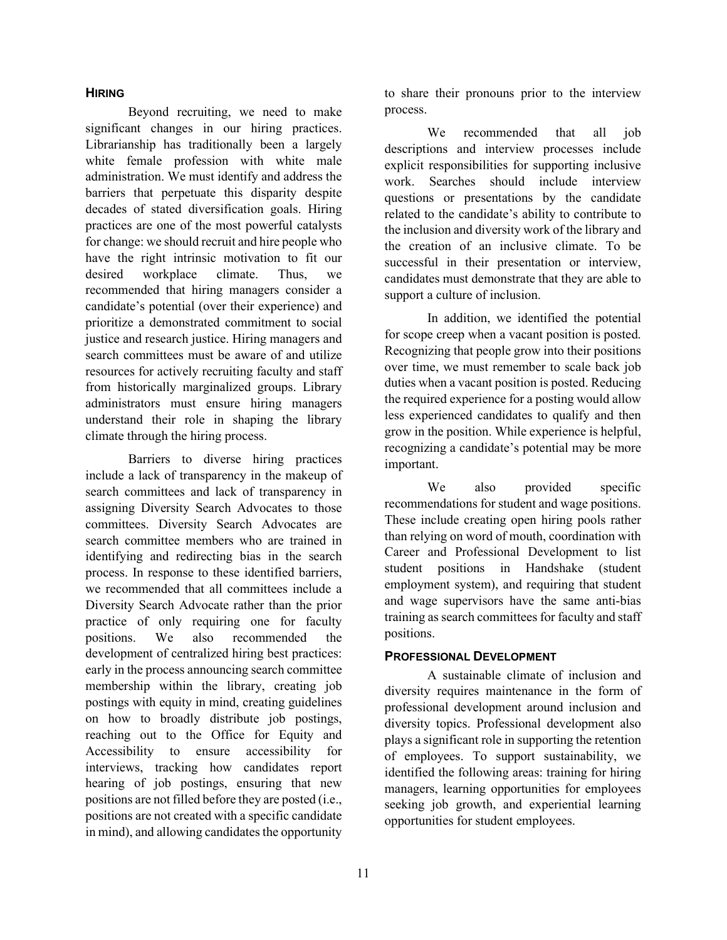#### **HIRING**

Beyond recruiting, we need to make significant changes in our hiring practices. Librarianship has traditionally been a largely white female profession with white male administration. We must identify and address the barriers that perpetuate this disparity despite decades of stated diversification goals. Hiring practices are one of the most powerful catalysts for change: we should recruit and hire people who have the right intrinsic motivation to fit our desired workplace climate. Thus, we recommended that hiring managers consider a candidate's potential (over their experience) and prioritize a demonstrated commitment to social justice and research justice. Hiring managers and search committees must be aware of and utilize resources for actively recruiting faculty and staff from historically marginalized groups. Library administrators must ensure hiring managers understand their role in shaping the library climate through the hiring process.

Barriers to diverse hiring practices include a lack of transparency in the makeup of search committees and lack of transparency in assigning Diversity Search Advocates to those committees. Diversity Search Advocates are search committee members who are trained in identifying and redirecting bias in the search process. In response to these identified barriers, we recommended that all committees include a Diversity Search Advocate rather than the prior practice of only requiring one for faculty positions. We also recommended the development of centralized hiring best practices: early in the process announcing search committee membership within the library, creating job postings with equity in mind, creating guidelines on how to broadly distribute job postings, reaching out to the Office for Equity and Accessibility to ensure accessibility for interviews, tracking how candidates report hearing of job postings, ensuring that new positions are not filled before they are posted (i.e., positions are not created with a specific candidate in mind), and allowing candidates the opportunity

to share their pronouns prior to the interview process.

We recommended that all job descriptions and interview processes include explicit responsibilities for supporting inclusive work. Searches should include interview questions or presentations by the candidate related to the candidate's ability to contribute to the inclusion and diversity work of the library and the creation of an inclusive climate. To be successful in their presentation or interview, candidates must demonstrate that they are able to support a culture of inclusion.

In addition, we identified the potential for scope creep when a vacant position is posted. Recognizing that people grow into their positions over time, we must remember to scale back job duties when a vacant position is posted. Reducing the required experience for a posting would allow less experienced candidates to qualify and then grow in the position. While experience is helpful, recognizing a candidate's potential may be more important.

We also provided specific recommendations for student and wage positions. These include creating open hiring pools rather than relying on word of mouth, coordination with Career and Professional Development to list student positions in Handshake (student employment system), and requiring that student and wage supervisors have the same anti-bias training as search committees for faculty and staff positions.

## **PROFESSIONAL DEVELOPMENT**

A sustainable climate of inclusion and diversity requires maintenance in the form of professional development around inclusion and diversity topics. Professional development also plays a significant role in supporting the retention of employees. To support sustainability, we identified the following areas: training for hiring managers, learning opportunities for employees seeking job growth, and experiential learning opportunities for student employees.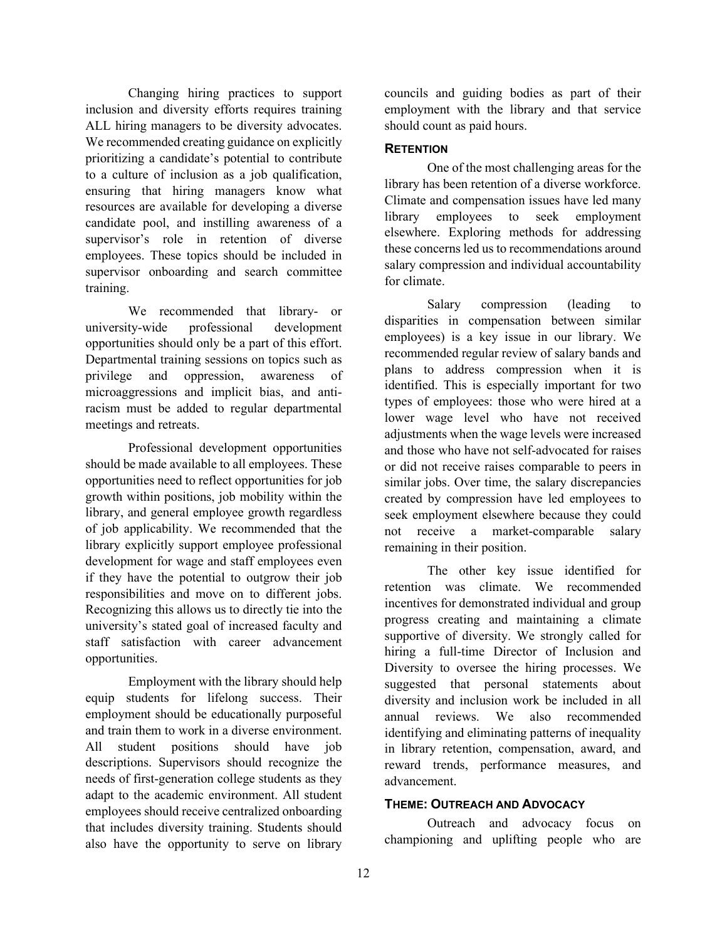Changing hiring practices to support inclusion and diversity efforts requires training ALL hiring managers to be diversity advocates. We recommended creating guidance on explicitly prioritizing a candidate's potential to contribute to a culture of inclusion as a job qualification, ensuring that hiring managers know what resources are available for developing a diverse candidate pool, and instilling awareness of a supervisor's role in retention of diverse employees. These topics should be included in supervisor onboarding and search committee training.

We recommended that library- or university-wide professional development opportunities should only be a part of this effort. Departmental training sessions on topics such as privilege and oppression, awareness of microaggressions and implicit bias, and antiracism must be added to regular departmental meetings and retreats.

Professional development opportunities should be made available to all employees. These opportunities need to reflect opportunities for job growth within positions, job mobility within the library, and general employee growth regardless of job applicability. We recommended that the library explicitly support employee professional development for wage and staff employees even if they have the potential to outgrow their job responsibilities and move on to different jobs. Recognizing this allows us to directly tie into the university's stated goal of increased faculty and staff satisfaction with career advancement opportunities.

Employment with the library should help equip students for lifelong success. Their employment should be educationally purposeful and train them to work in a diverse environment. All student positions should have job descriptions. Supervisors should recognize the needs of first-generation college students as they adapt to the academic environment. All student employees should receive centralized onboarding that includes diversity training. Students should also have the opportunity to serve on library

councils and guiding bodies as part of their employment with the library and that service should count as paid hours.

## **RETENTION**

One of the most challenging areas for the library has been retention of a diverse workforce. Climate and compensation issues have led many library employees to seek employment elsewhere. Exploring methods for addressing these concerns led us to recommendations around salary compression and individual accountability for climate.

Salary compression (leading to disparities in compensation between similar employees) is a key issue in our library. We recommended regular review of salary bands and plans to address compression when it is identified. This is especially important for two types of employees: those who were hired at a lower wage level who have not received adjustments when the wage levels were increased and those who have not self-advocated for raises or did not receive raises comparable to peers in similar jobs. Over time, the salary discrepancies created by compression have led employees to seek employment elsewhere because they could not receive a market-comparable salary remaining in their position.

The other key issue identified for retention was climate. We recommended incentives for demonstrated individual and group progress creating and maintaining a climate supportive of diversity. We strongly called for hiring a full-time Director of Inclusion and Diversity to oversee the hiring processes. We suggested that personal statements about diversity and inclusion work be included in all annual reviews. We also recommended identifying and eliminating patterns of inequality in library retention, compensation, award, and reward trends, performance measures, and advancement.

#### **THEME: OUTREACH AND ADVOCACY**

Outreach and advocacy focus on championing and uplifting people who are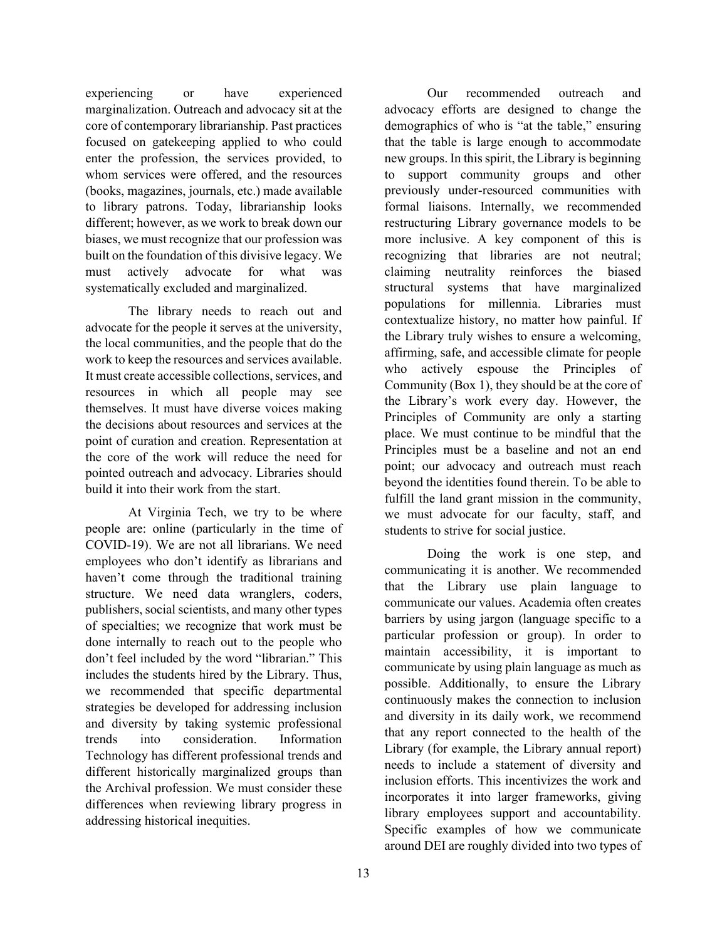experiencing or have experienced marginalization. Outreach and advocacy sit at the core of contemporary librarianship. Past practices focused on gatekeeping applied to who could enter the profession, the services provided, to whom services were offered, and the resources (books, magazines, journals, etc.) made available to library patrons. Today, librarianship looks different; however, as we work to break down our biases, we must recognize that our profession was built on the foundation of this divisive legacy. We must actively advocate for what was systematically excluded and marginalized.

The library needs to reach out and advocate for the people it serves at the university, the local communities, and the people that do the work to keep the resources and services available. It must create accessible collections, services, and resources in which all people may see themselves. It must have diverse voices making the decisions about resources and services at the point of curation and creation. Representation at the core of the work will reduce the need for pointed outreach and advocacy. Libraries should build it into their work from the start.

At Virginia Tech, we try to be where people are: online (particularly in the time of COVID-19). We are not all librarians. We need employees who don't identify as librarians and haven't come through the traditional training structure. We need data wranglers, coders, publishers, social scientists, and many other types of specialties; we recognize that work must be done internally to reach out to the people who don't feel included by the word "librarian." This includes the students hired by the Library. Thus, we recommended that specific departmental strategies be developed for addressing inclusion and diversity by taking systemic professional trends into consideration. Information Technology has different professional trends and different historically marginalized groups than the Archival profession. We must consider these differences when reviewing library progress in addressing historical inequities.

Our recommended outreach and advocacy efforts are designed to change the demographics of who is "at the table," ensuring that the table is large enough to accommodate new groups. In this spirit, the Library is beginning to support community groups and other previously under-resourced communities with formal liaisons. Internally, we recommended restructuring Library governance models to be more inclusive. A key component of this is recognizing that libraries are not neutral; claiming neutrality reinforces the biased structural systems that have marginalized populations for millennia. Libraries must contextualize history, no matter how painful. If the Library truly wishes to ensure a welcoming, affirming, safe, and accessible climate for people who actively espouse the Principles of Community (Box 1), they should be at the core of the Library's work every day. However, the Principles of Community are only a starting place. We must continue to be mindful that the Principles must be a baseline and not an end point; our advocacy and outreach must reach beyond the identities found therein. To be able to fulfill the land grant mission in the community, we must advocate for our faculty, staff, and students to strive for social justice.

Doing the work is one step, and communicating it is another. We recommended that the Library use plain language to communicate our values. Academia often creates barriers by using jargon (language specific to a particular profession or group). In order to maintain accessibility, it is important to communicate by using plain language as much as possible. Additionally, to ensure the Library continuously makes the connection to inclusion and diversity in its daily work, we recommend that any report connected to the health of the Library (for example, the Library annual report) needs to include a statement of diversity and inclusion efforts. This incentivizes the work and incorporates it into larger frameworks, giving library employees support and accountability. Specific examples of how we communicate around DEI are roughly divided into two types of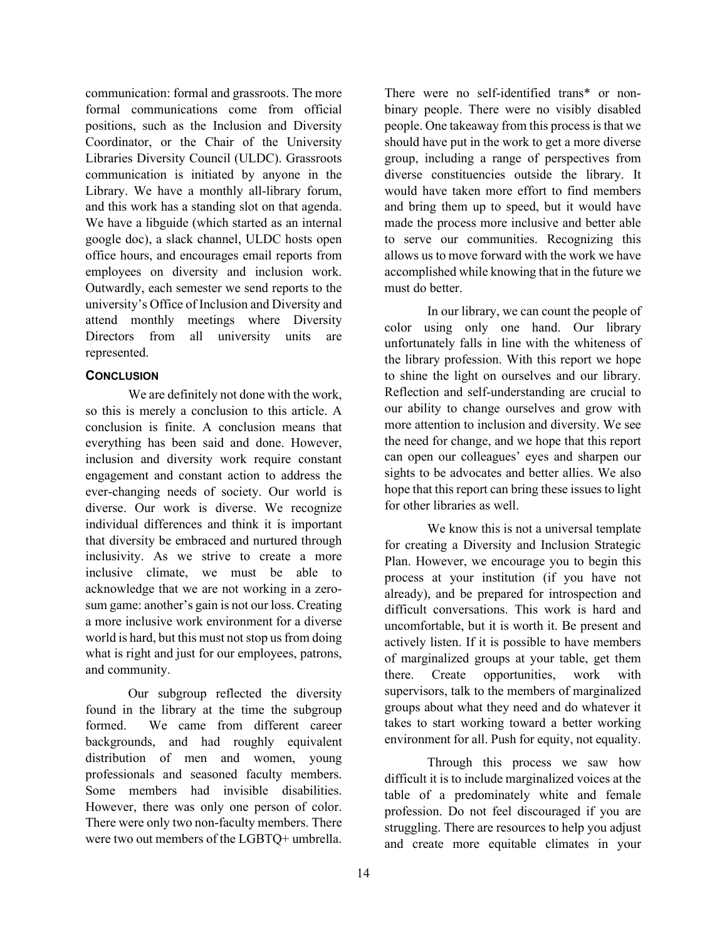communication: formal and grassroots. The more formal communications come from official positions, such as the Inclusion and Diversity Coordinator, or the Chair of the University Libraries Diversity Council (ULDC). Grassroots communication is initiated by anyone in the Library. We have a monthly all-library forum, and this work has a standing slot on that agenda. We have a libguide (which started as an internal google doc), a slack channel, ULDC hosts open office hours, and encourages email reports from employees on diversity and inclusion work. Outwardly, each semester we send reports to the university's Office of Inclusion and Diversity and attend monthly meetings where Diversity Directors from all university units are represented.

# **CONCLUSION**

We are definitely not done with the work, so this is merely a conclusion to this article. A conclusion is finite. A conclusion means that everything has been said and done. However, inclusion and diversity work require constant engagement and constant action to address the ever-changing needs of society. Our world is diverse. Our work is diverse. We recognize individual differences and think it is important that diversity be embraced and nurtured through inclusivity. As we strive to create a more inclusive climate, we must be able to acknowledge that we are not working in a zerosum game: another's gain is not our loss. Creating a more inclusive work environment for a diverse world is hard, but this must not stop us from doing what is right and just for our employees, patrons, and community.

Our subgroup reflected the diversity found in the library at the time the subgroup formed. We came from different career backgrounds, and had roughly equivalent distribution of men and women, young professionals and seasoned faculty members. Some members had invisible disabilities. However, there was only one person of color. There were only two non-faculty members. There were two out members of the LGBTQ+ umbrella.

There were no self-identified trans\* or nonbinary people. There were no visibly disabled people. One takeaway from this process is that we should have put in the work to get a more diverse group, including a range of perspectives from diverse constituencies outside the library. It would have taken more effort to find members and bring them up to speed, but it would have made the process more inclusive and better able to serve our communities. Recognizing this allows us to move forward with the work we have accomplished while knowing that in the future we must do better.

In our library, we can count the people of color using only one hand. Our library unfortunately falls in line with the whiteness of the library profession. With this report we hope to shine the light on ourselves and our library. Reflection and self-understanding are crucial to our ability to change ourselves and grow with more attention to inclusion and diversity. We see the need for change, and we hope that this report can open our colleagues' eyes and sharpen our sights to be advocates and better allies. We also hope that this report can bring these issues to light for other libraries as well.

We know this is not a universal template for creating a Diversity and Inclusion Strategic Plan. However, we encourage you to begin this process at your institution (if you have not already), and be prepared for introspection and difficult conversations. This work is hard and uncomfortable, but it is worth it. Be present and actively listen. If it is possible to have members of marginalized groups at your table, get them there. Create opportunities, work with supervisors, talk to the members of marginalized groups about what they need and do whatever it takes to start working toward a better working environment for all. Push for equity, not equality.

Through this process we saw how difficult it is to include marginalized voices at the table of a predominately white and female profession. Do not feel discouraged if you are struggling. There are resources to help you adjust and create more equitable climates in your